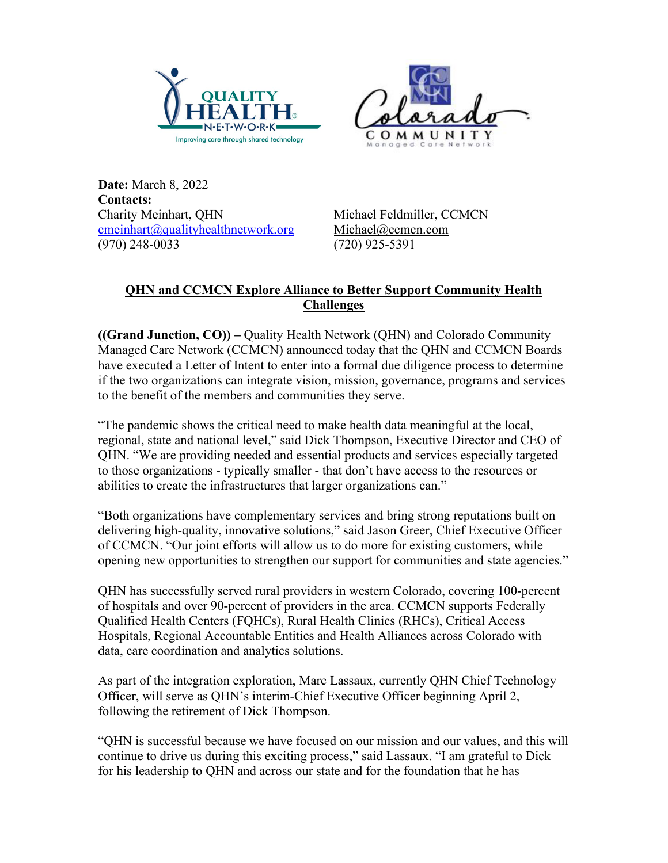



**Date:** March 8, 2022 **Contacts:**  Charity Meinhart, QHN Michael Feldmiller, CCMCN [cmeinhart@qualityhealthnetwork.org](mailto:cmeinhart@qualityhealthnetwork.org) [Michael@ccmcn.com](mailto:Michael@ccmcn.com) (970) 248-0033 (720) 925-5391

## **QHN and CCMCN Explore Alliance to Better Support Community Health Challenges**

**((Grand Junction, CO)) –** Quality Health Network (QHN) and Colorado Community Managed Care Network (CCMCN) announced today that the QHN and CCMCN Boards have executed a Letter of Intent to enter into a formal due diligence process to determine if the two organizations can integrate vision, mission, governance, programs and services to the benefit of the members and communities they serve.

"The pandemic shows the critical need to make health data meaningful at the local, regional, state and national level," said Dick Thompson, Executive Director and CEO of QHN. "We are providing needed and essential products and services especially targeted to those organizations - typically smaller - that don't have access to the resources or abilities to create the infrastructures that larger organizations can."

"Both organizations have complementary services and bring strong reputations built on delivering high-quality, innovative solutions," said Jason Greer, Chief Executive Officer of CCMCN. "Our joint efforts will allow us to do more for existing customers, while opening new opportunities to strengthen our support for communities and state agencies."

QHN has successfully served rural providers in western Colorado, covering 100-percent of hospitals and over 90-percent of providers in the area. CCMCN supports Federally Qualified Health Centers (FQHCs), Rural Health Clinics (RHCs), Critical Access Hospitals, Regional Accountable Entities and Health Alliances across Colorado with data, care coordination and analytics solutions.

As part of the integration exploration, Marc Lassaux, currently QHN Chief Technology Officer, will serve as QHN's interim-Chief Executive Officer beginning April 2, following the retirement of Dick Thompson.

"QHN is successful because we have focused on our mission and our values, and this will continue to drive us during this exciting process," said Lassaux. "I am grateful to Dick for his leadership to QHN and across our state and for the foundation that he has